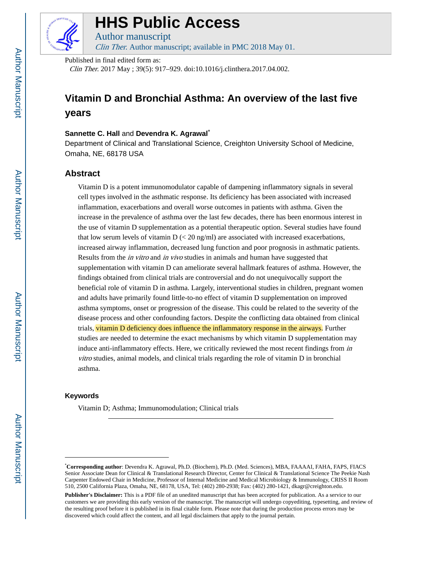

# **HHS Public Access**

Author manuscript Clin Ther. Author manuscript; available in PMC 2018 May 01.

Published in final edited form as:

Clin Ther. 2017 May ; 39(5): 917–929. doi:10.1016/j.clinthera.2017.04.002.

## **Vitamin D and Bronchial Asthma: An overview of the last five years**

#### **Sannette C. Hall** and **Devendra K. Agrawal**\*

Department of Clinical and Translational Science, Creighton University School of Medicine, Omaha, NE, 68178 USA

### **Abstract**

Vitamin D is a potent immunomodulator capable of dampening inflammatory signals in several cell types involved in the asthmatic response. Its deficiency has been associated with increased inflammation, exacerbations and overall worse outcomes in patients with asthma. Given the increase in the prevalence of asthma over the last few decades, there has been enormous interest in the use of vitamin D supplementation as a potential therapeutic option. Several studies have found that low serum levels of vitamin  $D \ll 20$  ng/ml) are associated with increased exacerbations, increased airway inflammation, decreased lung function and poor prognosis in asthmatic patients. Results from the in vitro and in vivo studies in animals and human have suggested that supplementation with vitamin D can ameliorate several hallmark features of asthma. However, the findings obtained from clinical trials are controversial and do not unequivocally support the beneficial role of vitamin D in asthma. Largely, interventional studies in children, pregnant women and adults have primarily found little-to-no effect of vitamin D supplementation on improved asthma symptoms, onset or progression of the disease. This could be related to the severity of the disease process and other confounding factors. Despite the conflicting data obtained from clinical trials, vitamin D deficiency does influence the inflammatory response in the airways. Further studies are needed to determine the exact mechanisms by which vitamin D supplementation may induce anti-inflammatory effects. Here, we critically reviewed the most recent findings from in vitro studies, animal models, and clinical trials regarding the role of vitamin D in bronchial asthma.

#### **Keywords**

Vitamin D; Asthma; Immunomodulation; Clinical trials

<sup>\*</sup>**Corresponding author**: Devendra K. Agrawal, Ph.D. (Biochem), Ph.D. (Med. Sciences), MBA, FAAAAI, FAHA, FAPS, FIACS Senior Associate Dean for Clinical & Translational Research Director, Center for Clinical & Translational Science The Peekie Nash Carpenter Endowed Chair in Medicine, Professor of Internal Medicine and Medical Microbiology & Immunology, CRISS II Room 510, 2500 California Plaza, Omaha, NE, 68178, USA, Tel: (402) 280-2938; Fax: (402) 280-1421, dkagr@creighton.edu.

**Publisher's Disclaimer:** This is a PDF file of an unedited manuscript that has been accepted for publication. As a service to our customers we are providing this early version of the manuscript. The manuscript will undergo copyediting, typesetting, and review of the resulting proof before it is published in its final citable form. Please note that during the production process errors may be discovered which could affect the content, and all legal disclaimers that apply to the journal pertain.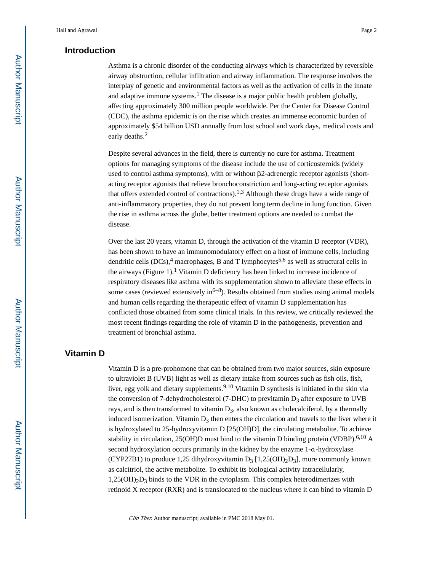## **Introduction**

Asthma is a chronic disorder of the conducting airways which is characterized by reversible airway obstruction, cellular infiltration and airway inflammation. The response involves the interplay of genetic and environmental factors as well as the activation of cells in the innate and adaptive immune systems.<sup>1</sup> The disease is a major public health problem globally, affecting approximately 300 million people worldwide. Per the Center for Disease Control (CDC), the asthma epidemic is on the rise which creates an immense economic burden of approximately \$54 billion USD annually from lost school and work days, medical costs and early deaths.<sup>2</sup>

Despite several advances in the field, there is currently no cure for asthma. Treatment options for managing symptoms of the disease include the use of corticosteroids (widely used to control asthma symptoms), with or without β2-adrenergic receptor agonists (shortacting receptor agonists that relieve bronchoconstriction and long-acting receptor agonists that offers extended control of contractions).<sup>1,3</sup> Although these drugs have a wide range of anti-inflammatory properties, they do not prevent long term decline in lung function. Given the rise in asthma across the globe, better treatment options are needed to combat the disease.

Over the last 20 years, vitamin D, through the activation of the vitamin D receptor (VDR), has been shown to have an immunomodulatory effect on a host of immune cells, including dendritic cells  $(DCs)$ ,<sup>4</sup> macrophages, B and T lymphocytes<sup>5,6</sup> as well as structural cells in the airways (Figure 1).<sup>1</sup> Vitamin D deficiency has been linked to increase incidence of respiratory diseases like asthma with its supplementation shown to alleviate these effects in some cases (reviewed extensively in<sup> $6-8$ </sup>). Results obtained from studies using animal models and human cells regarding the therapeutic effect of vitamin D supplementation has conflicted those obtained from some clinical trials. In this review, we critically reviewed the most recent findings regarding the role of vitamin D in the pathogenesis, prevention and treatment of bronchial asthma.

## **Vitamin D**

Vitamin D is a pre-prohomone that can be obtained from two major sources, skin exposure to ultraviolet B (UVB) light as well as dietary intake from sources such as fish oils, fish, liver, egg yolk and dietary supplements.<sup>9,10</sup> Vitamin D synthesis is initiated in the skin via the conversion of 7-dehydrocholesterol (7-DHC) to previtamin  $D_3$  after exposure to UVB rays, and is then transformed to vitamin  $D_3$ , also known as cholecalciferol, by a thermally induced isomerization. Vitamin  $D_3$  then enters the circulation and travels to the liver where it is hydroxylated to 25-hydroxyvitamin D [25(OH)D], the circulating metabolite. To achieve stability in circulation, 25(OH)D must bind to the vitamin D binding protein (VDBP).<sup>6,10</sup> A second hydroxylation occurs primarily in the kidney by the enzyme 1-α-hydroxylase (CYP27B1) to produce 1,25 dihydroxyvitamin  $D_3$  [1,25(OH)<sub>2</sub>D<sub>3</sub>], more commonly known as calcitriol, the active metabolite. To exhibit its biological activity intracellularly,  $1,25(OH)<sub>2</sub>D<sub>3</sub>$  binds to the VDR in the cytoplasm. This complex heterodimerizes with retinoid X receptor (RXR) and is translocated to the nucleus where it can bind to vitamin D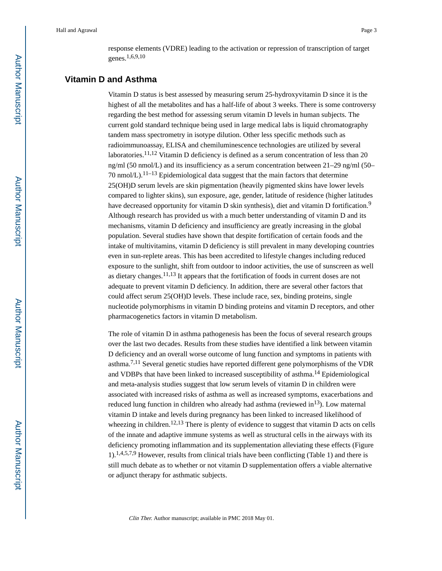response elements (VDRE) leading to the activation or repression of transcription of target genes.1,6,9,10

## **Vitamin D and Asthma**

Vitamin D status is best assessed by measuring serum 25-hydroxyvitamin D since it is the highest of all the metabolites and has a half-life of about 3 weeks. There is some controversy regarding the best method for assessing serum vitamin D levels in human subjects. The current gold standard technique being used in large medical labs is liquid chromatography tandem mass spectrometry in isotype dilution. Other less specific methods such as radioimmunoassay, ELISA and chemiluminescence technologies are utilized by several laboratories.<sup>11,12</sup> Vitamin D deficiency is defined as a serum concentration of less than 20 ng/ml (50 nmol/L) and its insufficiency as a serum concentration between 21–29 ng/ml (50– 70 nmol/L).<sup>11–13</sup> Epidemiological data suggest that the main factors that determine 25(OH)D serum levels are skin pigmentation (heavily pigmented skins have lower levels compared to lighter skins), sun exposure, age, gender, latitude of residence (higher latitudes have decreased opportunity for vitamin D skin synthesis), diet and vitamin D fortification.<sup>9</sup> Although research has provided us with a much better understanding of vitamin D and its mechanisms, vitamin D deficiency and insufficiency are greatly increasing in the global population. Several studies have shown that despite fortification of certain foods and the intake of multivitamins, vitamin D deficiency is still prevalent in many developing countries even in sun-replete areas. This has been accredited to lifestyle changes including reduced exposure to the sunlight, shift from outdoor to indoor activities, the use of sunscreen as well as dietary changes.11,13 It appears that the fortification of foods in current doses are not adequate to prevent vitamin D deficiency. In addition, there are several other factors that could affect serum 25(OH)D levels. These include race, sex, binding proteins, single nucleotide polymorphisms in vitamin D binding proteins and vitamin D receptors, and other pharmacogenetics factors in vitamin D metabolism.

The role of vitamin D in asthma pathogenesis has been the focus of several research groups over the last two decades. Results from these studies have identified a link between vitamin D deficiency and an overall worse outcome of lung function and symptoms in patients with asthma.7,11 Several genetic studies have reported different gene polymorphisms of the VDR and VDBPs that have been linked to increased susceptibility of asthma.14 Epidemiological and meta-analysis studies suggest that low serum levels of vitamin D in children were associated with increased risks of asthma as well as increased symptoms, exacerbations and reduced lung function in children who already had asthma (reviewed in<sup>13</sup>). Low maternal vitamin D intake and levels during pregnancy has been linked to increased likelihood of wheezing in children.<sup>12,13</sup> There is plenty of evidence to suggest that vitamin D acts on cells of the innate and adaptive immune systems as well as structural cells in the airways with its deficiency promoting inflammation and its supplementation alleviating these effects (Figure 1).<sup>1,4,5,7,9</sup> However, results from clinical trials have been conflicting (Table 1) and there is still much debate as to whether or not vitamin D supplementation offers a viable alternative or adjunct therapy for asthmatic subjects.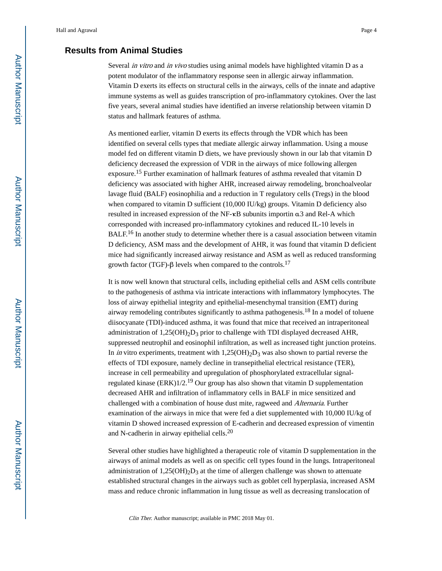## **Results from Animal Studies**

Several *in vitro* and *in vivo* studies using animal models have highlighted vitamin D as a potent modulator of the inflammatory response seen in allergic airway inflammation. Vitamin D exerts its effects on structural cells in the airways, cells of the innate and adaptive immune systems as well as guides transcription of pro-inflammatory cytokines. Over the last five years, several animal studies have identified an inverse relationship between vitamin D status and hallmark features of asthma.

As mentioned earlier, vitamin D exerts its effects through the VDR which has been identified on several cells types that mediate allergic airway inflammation. Using a mouse model fed on different vitamin D diets, we have previously shown in our lab that vitamin D deficiency decreased the expression of VDR in the airways of mice following allergen exposure.15 Further examination of hallmark features of asthma revealed that vitamin D deficiency was associated with higher AHR, increased airway remodeling, bronchoalveolar lavage fluid (BALF) eosinophilia and a reduction in T regulatory cells (Tregs) in the blood when compared to vitamin D sufficient (10,000 IU/kg) groups. Vitamin D deficiency also resulted in increased expression of the NF-κB subunits importin α3 and Rel-A which corresponded with increased pro-inflammatory cytokines and reduced IL-10 levels in BALF.<sup>16</sup> In another study to determine whether there is a casual association between vitamin D deficiency, ASM mass and the development of AHR, it was found that vitamin D deficient mice had significantly increased airway resistance and ASM as well as reduced transforming growth factor (TGF)-β levels when compared to the controls.<sup>17</sup>

It is now well known that structural cells, including epithelial cells and ASM cells contribute to the pathogenesis of asthma via intricate interactions with inflammatory lymphocytes. The loss of airway epithelial integrity and epithelial-mesenchymal transition (EMT) during airway remodeling contributes significantly to asthma pathogenesis.18 In a model of toluene diisocyanate (TDI)-induced asthma, it was found that mice that received an intraperitoneal administration of  $1,25(OH)_2D_3$  prior to challenge with TDI displayed decreased AHR, suppressed neutrophil and eosinophil infiltration, as well as increased tight junction proteins. In *in* vitro experiments, treatment with  $1,25(OH)_2D_3$  was also shown to partial reverse the effects of TDI exposure, namely decline in transepithelial electrical resistance (TER), increase in cell permeability and upregulation of phosphorylated extracellular signalregulated kinase (ERK) $1/2$ <sup>19</sup> Our group has also shown that vitamin D supplementation decreased AHR and infiltration of inflammatory cells in BALF in mice sensitized and challenged with a combination of house dust mite, ragweed and Alternaria. Further examination of the airways in mice that were fed a diet supplemented with 10,000 IU/kg of vitamin D showed increased expression of E-cadherin and decreased expression of vimentin and N-cadherin in airway epithelial cells.<sup>20</sup>

Several other studies have highlighted a therapeutic role of vitamin D supplementation in the airways of animal models as well as on specific cell types found in the lungs. Intraperitoneal administration of  $1,25(OH)_{2}D_{3}$  at the time of allergen challenge was shown to attenuate established structural changes in the airways such as goblet cell hyperplasia, increased ASM mass and reduce chronic inflammation in lung tissue as well as decreasing translocation of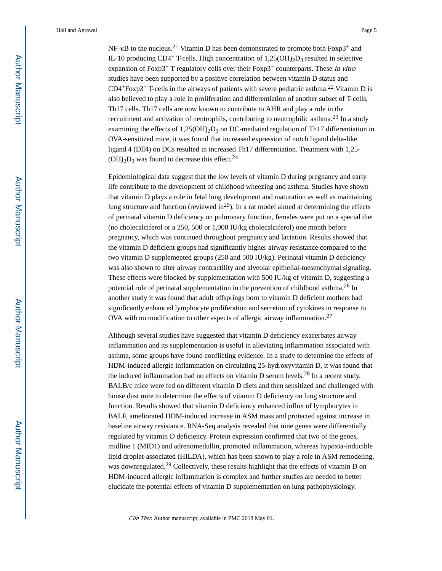Hall and Agrawal Page 5

NF- $\kappa$ B to the nucleus.<sup>21</sup> Vitamin D has been demonstrated to promote both Foxp3<sup>+</sup> and IL-10 producing CD4<sup>+</sup> T-cells. High concentration of  $1,25(OH)<sub>2</sub>D<sub>3</sub>$  resulted in selective expansion of Foxp3<sup>+</sup> T regulatory cells over their Foxp3<sup>−</sup> counterparts. These in vitro studies have been supported by a positive correlation between vitamin D status and  $CD4+Foxp3+T-cells$  in the airways of patients with severe pediatric asthma.<sup>22</sup> Vitamin D is also believed to play a role in proliferation and differentiation of another subset of T-cells, Th17 cells. Th17 cells are now known to contribute to AHR and play a role in the recruitment and activation of neutrophils, contributing to neutrophilic asthma.<sup>23</sup> In a study examining the effects of  $1,25(OH)_{2}D_{3}$  on DC-mediated regulation of Th17 differentiation in OVA-sensitized mice, it was found that increased expression of notch ligand delta-like ligand 4 (Dll4) on DCs resulted in increased Th17 differentiation. Treatment with 1,25-  $(OH)<sub>2</sub>D<sub>3</sub>$  was found to decrease this effect.<sup>24</sup>

Epidemiological data suggest that the low levels of vitamin D during pregnancy and early life contribute to the development of childhood wheezing and asthma. Studies have shown that vitamin D plays a role in fetal lung development and maturation as well as maintaining lung structure and function (reviewed in<sup>25</sup>). In a rat model aimed at determining the effects of perinatal vitamin D deficiency on pulmonary function, females were put on a special diet (no cholecalciferol or a 250, 500 or 1,000 IU/kg cholecalciferol) one month before pregnancy, which was continued throughout pregnancy and lactation. Results showed that the vitamin D deficient groups had significantly higher airway resistance compared to the two vitamin D supplemented groups (250 and 500 IU/kg). Perinatal vitamin D deficiency was also shown to alter airway contractility and alveolar epithelial-mesenchymal signaling. These effects were blocked by supplementation with 500 IU/kg of vitamin D, suggesting a potential role of perinatal supplementation in the prevention of childhood asthma.<sup>26</sup> In another study it was found that adult offsprings born to vitamin D deficient mothers had significantly enhanced lymphocyte proliferation and secretion of cytokines in response to OVA with no modification to other aspects of allergic airway inflammation.<sup>27</sup>

Although several studies have suggested that vitamin D deficiency exacerbates airway inflammation and its supplementation is useful in alleviating inflammation associated with asthma, some groups have found conflicting evidence. In a study to determine the effects of HDM-induced allergic inflammation on circulating 25-hydroxyvitamin D, it was found that the induced inflammation had no effects on vitamin D serum levels.28 In a recent study, BALB/c mice were fed on different vitamin D diets and then sensitized and challenged with house dust mite to determine the effects of vitamin D deficiency on lung structure and function. Results showed that vitamin D deficiency enhanced influx of lymphocytes in BALF, ameliorated HDM-induced increase in ASM mass and protected against increase in baseline airway resistance. RNA-Seq analysis revealed that nine genes were differentially regulated by vitamin D deficiency. Protein expression confirmed that two of the genes, midline 1 (MID1) and adrenomedullin, promoted inflammation, whereas hypoxia-inducible lipid droplet-associated (HILDA), which has been shown to play a role in ASM remodeling, was downregulated.<sup>29</sup> Collectively, these results highlight that the effects of vitamin D on HDM-induced allergic inflammation is complex and further studies are needed to better elucidate the potential effects of vitamin D supplementation on lung pathophysiology.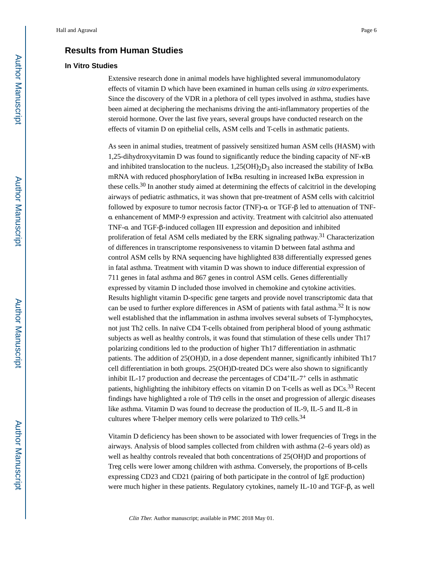## **Results from Human Studies**

#### **In Vitro Studies**

Extensive research done in animal models have highlighted several immunomodulatory effects of vitamin D which have been examined in human cells using *in vitro* experiments. Since the discovery of the VDR in a plethora of cell types involved in asthma, studies have been aimed at deciphering the mechanisms driving the anti-inflammatory properties of the steroid hormone. Over the last five years, several groups have conducted research on the effects of vitamin D on epithelial cells, ASM cells and T-cells in asthmatic patients.

As seen in animal studies, treatment of passively sensitized human ASM cells (HASM) with 1,25-dihydroxyvitamin D was found to significantly reduce the binding capacity of NF-κB and inhibited translocation to the nucleus.  $1,25(OH)_2D_3$  also increased the stability of I $\kappa Ba$ mRNA with reduced phosphorylation of IκBα resulting in increased IκBα expression in these cells.30 In another study aimed at determining the effects of calcitriol in the developing airways of pediatric asthmatics, it was shown that pre-treatment of ASM cells with calcitriol followed by exposure to tumor necrosis factor (TNF)-α or TGF-β led to attenuation of TNFα enhancement of MMP-9 expression and activity. Treatment with calcitriol also attenuated TNF-α and TGF-β-induced collagen III expression and deposition and inhibited proliferation of fetal ASM cells mediated by the ERK signaling pathway.<sup>31</sup> Characterization of differences in transcriptome responsiveness to vitamin D between fatal asthma and control ASM cells by RNA sequencing have highlighted 838 differentially expressed genes in fatal asthma. Treatment with vitamin D was shown to induce differential expression of 711 genes in fatal asthma and 867 genes in control ASM cells. Genes differentially expressed by vitamin D included those involved in chemokine and cytokine activities. Results highlight vitamin D-specific gene targets and provide novel transcriptomic data that can be used to further explore differences in ASM of patients with fatal asthma.<sup>32</sup> It is now well established that the inflammation in asthma involves several subsets of T-lymphocytes, not just Th2 cells. In naïve CD4 T-cells obtained from peripheral blood of young asthmatic subjects as well as healthy controls, it was found that stimulation of these cells under Th17 polarizing conditions led to the production of higher Th17 differentiation in asthmatic patients. The addition of 25(OH)D, in a dose dependent manner, significantly inhibited Th17 cell differentiation in both groups. 25(OH)D-treated DCs were also shown to significantly inhibit IL-17 production and decrease the percentages of CD4+IL-7+ cells in asthmatic patients, highlighting the inhibitory effects on vitamin D on T-cells as well as  $DCs$ .<sup>33</sup> Recent findings have highlighted a role of Th9 cells in the onset and progression of allergic diseases like asthma. Vitamin D was found to decrease the production of IL-9, IL-5 and IL-8 in cultures where T-helper memory cells were polarized to Th9 cells.<sup>34</sup>

Vitamin D deficiency has been shown to be associated with lower frequencies of Tregs in the airways. Analysis of blood samples collected from children with asthma (2–6 years old) as well as healthy controls revealed that both concentrations of 25(OH)D and proportions of Treg cells were lower among children with asthma. Conversely, the proportions of B-cells expressing CD23 and CD21 (pairing of both participate in the control of IgE production) were much higher in these patients. Regulatory cytokines, namely IL-10 and TGF-β, as well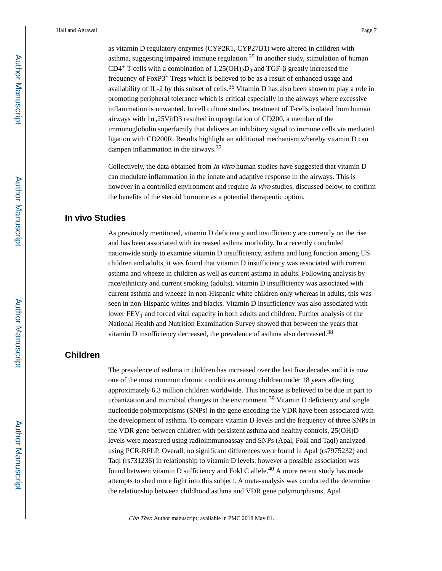Hall and Agrawal Page 7

as vitamin D regulatory enzymes (CYP2R1, CYP27B1) were altered in children with asthma, suggesting impaired immune regulation.<sup>35</sup> In another study, stimulation of human CD4<sup>+</sup> T-cells with a combination of 1,25(OH)<sub>2</sub>D<sub>3</sub> and TGF-β greatly increased the frequency of FoxP3+ Tregs which is believed to be as a result of enhanced usage and availability of IL-2 by this subset of cells.<sup>36</sup> Vitamin D has also been shown to play a role in promoting peripheral tolerance which is critical especially in the airways where excessive inflammation is unwanted. In cell culture studies, treatment of T-cells isolated from human airways with 1α,25VitD3 resulted in upregulation of CD200, a member of the immunoglobulin superfamily that delivers an inhibitory signal to immune cells via mediated ligation with CD200R. Results highlight an additional mechanism whereby vitamin D can dampen inflammation in the airways.<sup>37</sup>

Collectively, the data obtained from in vitro human studies have suggested that vitamin D can modulate inflammation in the innate and adaptive response in the airways. This is however in a controlled environment and require *in vivo* studies, discussed below, to confirm the benefits of the steroid hormone as a potential therapeutic option.

## **In vivo Studies**

As previously mentioned, vitamin D deficiency and insufficiency are currently on the rise and has been associated with increased asthma morbidity. In a recently concluded nationwide study to examine vitamin D insufficiency, asthma and lung function among US children and adults, it was found that vitamin D insufficiency was associated with current asthma and wheeze in children as well as current asthma in adults. Following analysis by race/ethnicity and current smoking (adults), vitamin D insufficiency was associated with current asthma and wheeze in non-Hispanic white children only whereas in adults, this was seen in non-Hispanic whites and blacks. Vitamin D insufficiency was also associated with lower  $FEV<sub>1</sub>$  and forced vital capacity in both adults and children. Further analysis of the National Health and Nutrition Examination Survey showed that between the years that vitamin D insufficiency decreased, the prevalence of asthma also decreased.<sup>38</sup>

## **Children**

The prevalence of asthma in children has increased over the last five decades and it is now one of the most common chronic conditions among children under 18 years affecting approximately 6.3 million children worldwide. This increase is believed to be due in part to urbanization and microbial changes in the environment.<sup>39</sup> Vitamin D deficiency and single nucleotide polymorphisms (SNPs) in the gene encoding the VDR have been associated with the development of asthma. To compare vitamin D levels and the frequency of three SNPs in the VDR gene between children with persistent asthma and healthy controls, 25(OH)D levels were measured using radioimmunoassay and SNPs (Apal, Fokl and Taql) analyzed using PCR-RFLP. Overall, no significant differences were found in Apal (rs7975232) and Taql (rs731236) in relationship to vitamin D levels, however a possible association was found between vitamin D sufficiency and Fokl C allele.<sup>40</sup> A more recent study has made attempts to shed more light into this subject. A meta-analysis was conducted the determine the relationship between childhood asthma and VDR gene polymorphisms, Apal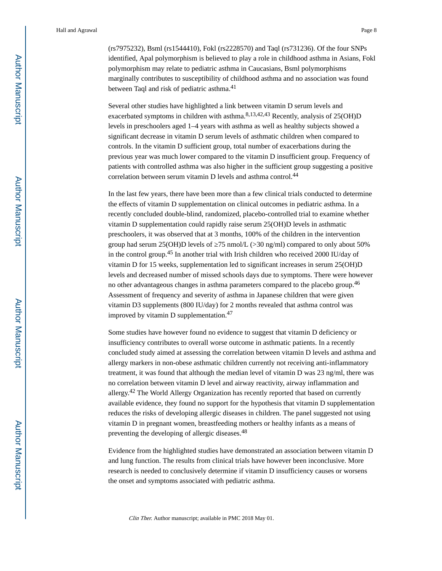(rs7975232), Bsml (rs1544410), Fokl (rs2228570) and Taql (rs731236). Of the four SNPs identified, Apal polymorphism is believed to play a role in childhood asthma in Asians, Fokl polymorphism may relate to pediatric asthma in Caucasians, Bsml polymorphisms marginally contributes to susceptibility of childhood asthma and no association was found between Taql and risk of pediatric asthma.<sup>41</sup>

Several other studies have highlighted a link between vitamin D serum levels and exacerbated symptoms in children with asthma.<sup>8,13,42,43</sup> Recently, analysis of 25(OH)D levels in preschoolers aged 1–4 years with asthma as well as healthy subjects showed a significant decrease in vitamin D serum levels of asthmatic children when compared to controls. In the vitamin D sufficient group, total number of exacerbations during the previous year was much lower compared to the vitamin D insufficient group. Frequency of patients with controlled asthma was also higher in the sufficient group suggesting a positive correlation between serum vitamin D levels and asthma control.<sup>44</sup>

In the last few years, there have been more than a few clinical trials conducted to determine the effects of vitamin D supplementation on clinical outcomes in pediatric asthma. In a recently concluded double-blind, randomized, placebo-controlled trial to examine whether vitamin D supplementation could rapidly raise serum 25(OH)D levels in asthmatic preschoolers, it was observed that at 3 months, 100% of the children in the intervention group had serum 25(OH)D levels of  $\,$  75 nmol/L ( $>$ 30 ng/ml) compared to only about 50% in the control group.45 In another trial with Irish children who received 2000 IU/day of vitamin D for 15 weeks, supplementation led to significant increases in serum 25(OH)D levels and decreased number of missed schools days due to symptoms. There were however no other advantageous changes in asthma parameters compared to the placebo group.<sup>46</sup> Assessment of frequency and severity of asthma in Japanese children that were given vitamin D3 supplements (800 IU/day) for 2 months revealed that asthma control was improved by vitamin D supplementation.<sup>47</sup>

Some studies have however found no evidence to suggest that vitamin D deficiency or insufficiency contributes to overall worse outcome in asthmatic patients. In a recently concluded study aimed at assessing the correlation between vitamin D levels and asthma and allergy markers in non-obese asthmatic children currently not receiving anti-inflammatory treatment, it was found that although the median level of vitamin D was 23 ng/ml, there was no correlation between vitamin D level and airway reactivity, airway inflammation and allergy.42 The World Allergy Organization has recently reported that based on currently available evidence, they found no support for the hypothesis that vitamin D supplementation reduces the risks of developing allergic diseases in children. The panel suggested not using vitamin D in pregnant women, breastfeeding mothers or healthy infants as a means of preventing the developing of allergic diseases.<sup>48</sup>

Evidence from the highlighted studies have demonstrated an association between vitamin D and lung function. The results from clinical trials have however been inconclusive. More research is needed to conclusively determine if vitamin D insufficiency causes or worsens the onset and symptoms associated with pediatric asthma.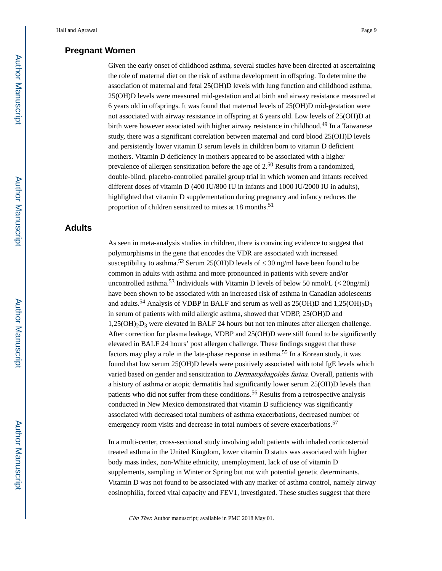## **Pregnant Women**

Given the early onset of childhood asthma, several studies have been directed at ascertaining the role of maternal diet on the risk of asthma development in offspring. To determine the association of maternal and fetal 25(OH)D levels with lung function and childhood asthma, 25(OH)D levels were measured mid-gestation and at birth and airway resistance measured at 6 years old in offsprings. It was found that maternal levels of 25(OH)D mid-gestation were not associated with airway resistance in offspring at 6 years old. Low levels of 25(OH)D at birth were however associated with higher airway resistance in childhood.<sup>49</sup> In a Taiwanese study, there was a significant correlation between maternal and cord blood 25(OH)D levels and persistently lower vitamin D serum levels in children born to vitamin D deficient mothers. Vitamin D deficiency in mothers appeared to be associated with a higher prevalence of allergen sensitization before the age of 2.50 Results from a randomized, double-blind, placebo-controlled parallel group trial in which women and infants received different doses of vitamin D (400 IU/800 IU in infants and 1000 IU/2000 IU in adults), highlighted that vitamin D supplementation during pregnancy and infancy reduces the proportion of children sensitized to mites at 18 months.<sup>51</sup>

## **Adults**

As seen in meta-analysis studies in children, there is convincing evidence to suggest that polymorphisms in the gene that encodes the VDR are associated with increased susceptibility to asthma.<sup>52</sup> Serum 25(OH)D levels of  $\overline{30}$  ng/ml have been found to be common in adults with asthma and more pronounced in patients with severe and/or uncontrolled asthma.<sup>53</sup> Individuals with Vitamin D levels of below 50 nmol/L ( $\lt$  20ng/ml) have been shown to be associated with an increased risk of asthma in Canadian adolescents and adults.<sup>54</sup> Analysis of VDBP in BALF and serum as well as  $25(OH)D$  and  $1,25(OH)_{2}D_{3}$ in serum of patients with mild allergic asthma, showed that VDBP, 25(OH)D and  $1,25(OH)_2D_3$  were elevated in BALF 24 hours but not ten minutes after allergen challenge. After correction for plasma leakage, VDBP and 25(OH)D were still found to be significantly elevated in BALF 24 hours' post allergen challenge. These findings suggest that these factors may play a role in the late-phase response in asthma.55 In a Korean study, it was found that low serum 25(OH)D levels were positively associated with total IgE levels which varied based on gender and sensitization to *Dermatophagoides farina*. Overall, patients with a history of asthma or atopic dermatitis had significantly lower serum 25(OH)D levels than patients who did not suffer from these conditions.56 Results from a retrospective analysis conducted in New Mexico demonstrated that vitamin D sufficiency was significantly associated with decreased total numbers of asthma exacerbations, decreased number of emergency room visits and decrease in total numbers of severe exacerbations.<sup>57</sup>

In a multi-center, cross-sectional study involving adult patients with inhaled corticosteroid treated asthma in the United Kingdom, lower vitamin D status was associated with higher body mass index, non-White ethnicity, unemployment, lack of use of vitamin D supplements, sampling in Winter or Spring but not with potential genetic determinants. Vitamin D was not found to be associated with any marker of asthma control, namely airway eosinophilia, forced vital capacity and FEV1, investigated. These studies suggest that there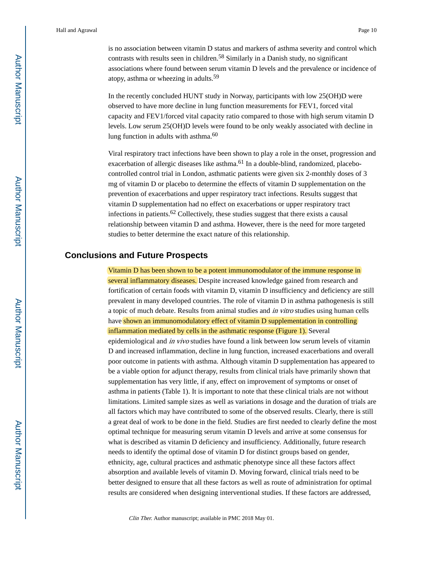is no association between vitamin D status and markers of asthma severity and control which contrasts with results seen in children.<sup>58</sup> Similarly in a Danish study, no significant associations where found between serum vitamin D levels and the prevalence or incidence of atopy, asthma or wheezing in adults.<sup>59</sup>

In the recently concluded HUNT study in Norway, participants with low 25(OH)D were observed to have more decline in lung function measurements for FEV1, forced vital capacity and FEV1/forced vital capacity ratio compared to those with high serum vitamin D levels. Low serum 25(OH)D levels were found to be only weakly associated with decline in lung function in adults with asthma.<sup>60</sup>

Viral respiratory tract infections have been shown to play a role in the onset, progression and exacerbation of allergic diseases like asthma.<sup>61</sup> In a double-blind, randomized, placebocontrolled control trial in London, asthmatic patients were given six 2-monthly doses of 3 mg of vitamin D or placebo to determine the effects of vitamin D supplementation on the prevention of exacerbations and upper respiratory tract infections. Results suggest that vitamin D supplementation had no effect on exacerbations or upper respiratory tract infections in patients.<sup>62</sup> Collectively, these studies suggest that there exists a causal relationship between vitamin D and asthma. However, there is the need for more targeted studies to better determine the exact nature of this relationship.

## **Conclusions and Future Prospects**

Vitamin D has been shown to be a potent immunomodulator of the immune response in several inflammatory diseases. Despite increased knowledge gained from research and fortification of certain foods with vitamin D, vitamin D insufficiency and deficiency are still prevalent in many developed countries. The role of vitamin D in asthma pathogenesis is still a topic of much debate. Results from animal studies and in vitro studies using human cells have shown an immunomodulatory effect of vitamin D supplementation in controlling inflammation mediated by cells in the asthmatic response (Figure 1). Several epidemiological and in vivo studies have found a link between low serum levels of vitamin D and increased inflammation, decline in lung function, increased exacerbations and overall poor outcome in patients with asthma. Although vitamin D supplementation has appeared to be a viable option for adjunct therapy, results from clinical trials have primarily shown that supplementation has very little, if any, effect on improvement of symptoms or onset of asthma in patients (Table 1). It is important to note that these clinical trials are not without limitations. Limited sample sizes as well as variations in dosage and the duration of trials are all factors which may have contributed to some of the observed results. Clearly, there is still a great deal of work to be done in the field. Studies are first needed to clearly define the most optimal technique for measuring serum vitamin D levels and arrive at some consensus for what is described as vitamin D deficiency and insufficiency. Additionally, future research needs to identify the optimal dose of vitamin D for distinct groups based on gender, ethnicity, age, cultural practices and asthmatic phenotype since all these factors affect absorption and available levels of vitamin D. Moving forward, clinical trials need to be better designed to ensure that all these factors as well as route of administration for optimal results are considered when designing interventional studies. If these factors are addressed,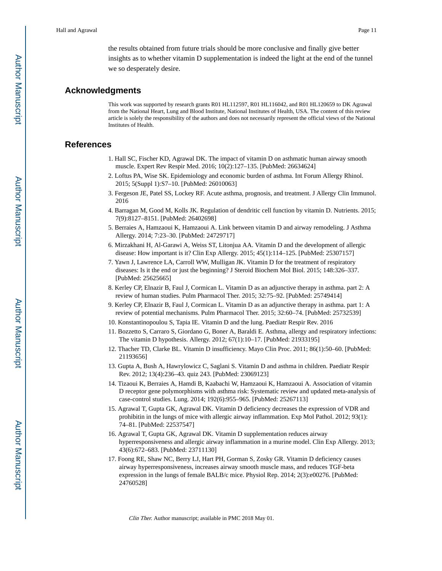the results obtained from future trials should be more conclusive and finally give better insights as to whether vitamin D supplementation is indeed the light at the end of the tunnel we so desperately desire.

#### **Acknowledgments**

This work was supported by research grants R01 HL112597, R01 HL116042, and R01 HL120659 to DK Agrawal from the National Heart, Lung and Blood Institute, National Institutes of Health, USA. The content of this review article is solely the responsibility of the authors and does not necessarily represent the official views of the National Institutes of Health.

#### **References**

- 1. Hall SC, Fischer KD, Agrawal DK. The impact of vitamin D on asthmatic human airway smooth muscle. Expert Rev Respir Med. 2016; 10(2):127–135. [PubMed: 26634624]
- 2. Loftus PA, Wise SK. Epidemiology and economic burden of asthma. Int Forum Allergy Rhinol. 2015; 5(Suppl 1):S7–10. [PubMed: 26010063]
- 3. Fergeson JE, Patel SS, Lockey RF. Acute asthma, prognosis, and treatment. J Allergy Clin Immunol. 2016
- 4. Barragan M, Good M, Kolls JK. Regulation of dendritic cell function by vitamin D. Nutrients. 2015; 7(9):8127–8151. [PubMed: 26402698]
- 5. Berraies A, Hamzaoui K, Hamzaoui A. Link between vitamin D and airway remodeling. J Asthma Allergy. 2014; 7:23–30. [PubMed: 24729717]
- 6. Mirzakhani H, Al-Garawi A, Weiss ST, Litonjua AA. Vitamin D and the development of allergic disease: How important is it? Clin Exp Allergy. 2015; 45(1):114–125. [PubMed: 25307157]
- 7. Yawn J, Lawrence LA, Carroll WW, Mulligan JK. Vitamin D for the treatment of respiratory diseases: Is it the end or just the beginning? J Steroid Biochem Mol Biol. 2015; 148:326–337. [PubMed: 25625665]
- 8. Kerley CP, Elnazir B, Faul J, Cormican L. Vitamin D as an adjunctive therapy in asthma. part 2: A review of human studies. Pulm Pharmacol Ther. 2015; 32:75–92. [PubMed: 25749414]
- 9. Kerley CP, Elnazir B, Faul J, Cormican L. Vitamin D as an adjunctive therapy in asthma. part 1: A review of potential mechanisms. Pulm Pharmacol Ther. 2015; 32:60–74. [PubMed: 25732539]
- 10. Konstantinopoulou S, Tapia IE. Vitamin D and the lung. Paediatr Respir Rev. 2016
- 11. Bozzetto S, Carraro S, Giordano G, Boner A, Baraldi E. Asthma, allergy and respiratory infections: The vitamin D hypothesis. Allergy. 2012; 67(1):10–17. [PubMed: 21933195]
- 12. Thacher TD, Clarke BL. Vitamin D insufficiency. Mayo Clin Proc. 2011; 86(1):50–60. [PubMed: 21193656]
- 13. Gupta A, Bush A, Hawrylowicz C, Saglani S. Vitamin D and asthma in children. Paediatr Respir Rev. 2012; 13(4):236–43. quiz 243. [PubMed: 23069123]
- 14. Tizaoui K, Berraies A, Hamdi B, Kaabachi W, Hamzaoui K, Hamzaoui A. Association of vitamin D receptor gene polymorphisms with asthma risk: Systematic review and updated meta-analysis of case-control studies. Lung. 2014; 192(6):955–965. [PubMed: 25267113]
- 15. Agrawal T, Gupta GK, Agrawal DK. Vitamin D deficiency decreases the expression of VDR and prohibitin in the lungs of mice with allergic airway inflammation. Exp Mol Pathol. 2012; 93(1): 74–81. [PubMed: 22537547]
- 16. Agrawal T, Gupta GK, Agrawal DK. Vitamin D supplementation reduces airway hyperresponsiveness and allergic airway inflammation in a murine model. Clin Exp Allergy. 2013; 43(6):672–683. [PubMed: 23711130]
- 17. Foong RE, Shaw NC, Berry LJ, Hart PH, Gorman S, Zosky GR. Vitamin D deficiency causes airway hyperresponsiveness, increases airway smooth muscle mass, and reduces TGF-beta expression in the lungs of female BALB/c mice. Physiol Rep. 2014; 2(3):e00276. [PubMed: 24760528]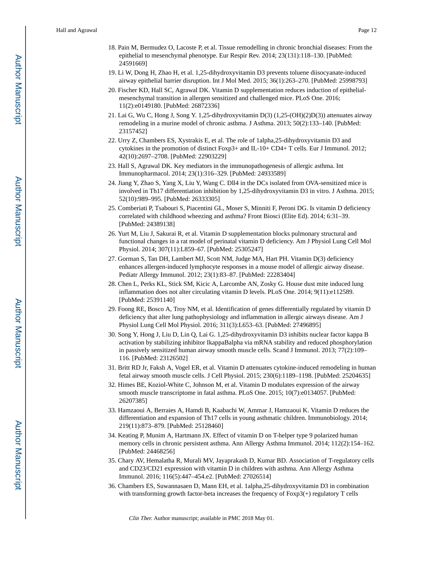- 18. Pain M, Bermudez O, Lacoste P, et al. Tissue remodelling in chronic bronchial diseases: From the epithelial to mesenchymal phenotype. Eur Respir Rev. 2014; 23(131):118–130. [PubMed: 24591669]
- 19. Li W, Dong H, Zhao H, et al. 1,25-dihydroxyvitamin D3 prevents toluene diisocyanate-induced airway epithelial barrier disruption. Int J Mol Med. 2015; 36(1):263–270. [PubMed: 25998793]
- 20. Fischer KD, Hall SC, Agrawal DK. Vitamin D supplementation reduces induction of epithelialmesenchymal transition in allergen sensitized and challenged mice. PLoS One. 2016; 11(2):e0149180. [PubMed: 26872336]
- 21. Lai G, Wu C, Hong J, Song Y. 1,25-dihydroxyvitamin D(3) (1,25-(OH)(2)D(3)) attenuates airway remodeling in a murine model of chronic asthma. J Asthma. 2013; 50(2):133–140. [PubMed: 23157452]
- 22. Urry Z, Chambers ES, Xystrakis E, et al. The role of 1alpha,25-dihydroxyvitamin D3 and cytokines in the promotion of distinct Foxp3+ and IL-10+ CD4+ T cells. Eur J Immunol. 2012; 42(10):2697–2708. [PubMed: 22903229]
- 23. Hall S, Agrawal DK. Key mediators in the immunopathogenesis of allergic asthma. Int Immunopharmacol. 2014; 23(1):316–329. [PubMed: 24933589]
- 24. Jiang Y, Zhao S, Yang X, Liu Y, Wang C. Dll4 in the DCs isolated from OVA-sensitized mice is involved in Th17 differentiation inhibition by 1,25-dihydroxyvitamin D3 in vitro. J Asthma. 2015; 52(10):989–995. [PubMed: 26333305]
- 25. Comberiati P, Tsabouri S, Piacentini GL, Moser S, Minniti F, Peroni DG. Is vitamin D deficiency correlated with childhood wheezing and asthma? Front Biosci (Elite Ed). 2014; 6:31–39. [PubMed: 24389138]
- 26. Yurt M, Liu J, Sakurai R, et al. Vitamin D supplementation blocks pulmonary structural and functional changes in a rat model of perinatal vitamin D deficiency. Am J Physiol Lung Cell Mol Physiol. 2014; 307(11):L859–67. [PubMed: 25305247]
- 27. Gorman S, Tan DH, Lambert MJ, Scott NM, Judge MA, Hart PH. Vitamin D(3) deficiency enhances allergen-induced lymphocyte responses in a mouse model of allergic airway disease. Pediatr Allergy Immunol. 2012; 23(1):83–87. [PubMed: 22283404]
- 28. Chen L, Perks KL, Stick SM, Kicic A, Larcombe AN, Zosky G. House dust mite induced lung inflammation does not alter circulating vitamin D levels. PLoS One. 2014; 9(11):e112589. [PubMed: 25391140]
- 29. Foong RE, Bosco A, Troy NM, et al. Identification of genes differentially regulated by vitamin D deficiency that alter lung pathophysiology and inflammation in allergic airways disease. Am J Physiol Lung Cell Mol Physiol. 2016; 311(3):L653–63. [PubMed: 27496895]
- 30. Song Y, Hong J, Liu D, Lin Q, Lai G. 1,25-dihydroxyvitamin D3 inhibits nuclear factor kappa B activation by stabilizing inhibitor IkappaBalpha via mRNA stability and reduced phosphorylation in passively sensitized human airway smooth muscle cells. Scand J Immunol. 2013; 77(2):109– 116. [PubMed: 23126502]
- 31. Britt RD Jr, Faksh A, Vogel ER, et al. Vitamin D attenuates cytokine-induced remodeling in human fetal airway smooth muscle cells. J Cell Physiol. 2015; 230(6):1189–1198. [PubMed: 25204635]
- 32. Himes BE, Koziol-White C, Johnson M, et al. Vitamin D modulates expression of the airway smooth muscle transcriptome in fatal asthma. PLoS One. 2015; 10(7):e0134057. [PubMed: 26207385]
- 33. Hamzaoui A, Berraies A, Hamdi B, Kaabachi W, Ammar J, Hamzaoui K. Vitamin D reduces the differentiation and expansion of Th17 cells in young asthmatic children. Immunobiology. 2014; 219(11):873–879. [PubMed: 25128460]
- 34. Keating P, Munim A, Hartmann JX. Effect of vitamin D on T-helper type 9 polarized human memory cells in chronic persistent asthma. Ann Allergy Asthma Immunol. 2014; 112(2):154–162. [PubMed: 24468256]
- 35. Chary AV, Hemalatha R, Murali MV, Jayaprakash D, Kumar BD. Association of T-regulatory cells and CD23/CD21 expression with vitamin D in children with asthma. Ann Allergy Asthma Immunol. 2016; 116(5):447–454.e2. [PubMed: 27026514]
- 36. Chambers ES, Suwannasaen D, Mann EH, et al. 1alpha,25-dihydroxyvitamin D3 in combination with transforming growth factor-beta increases the frequency of Foxp3(+) regulatory T cells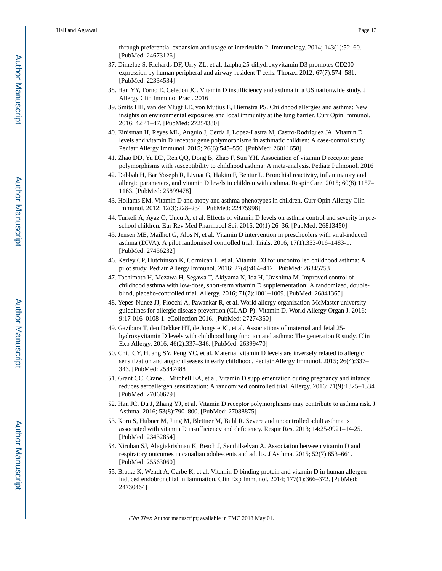through preferential expansion and usage of interleukin-2. Immunology. 2014; 143(1):52–60. [PubMed: 24673126]

- 37. Dimeloe S, Richards DF, Urry ZL, et al. 1alpha,25-dihydroxyvitamin D3 promotes CD200 expression by human peripheral and airway-resident T cells. Thorax. 2012; 67(7):574–581. [PubMed: 22334534]
- 38. Han YY, Forno E, Celedon JC. Vitamin D insufficiency and asthma in a US nationwide study. J Allergy Clin Immunol Pract. 2016
- 39. Smits HH, van der Vlugt LE, von Mutius E, Hiemstra PS. Childhood allergies and asthma: New insights on environmental exposures and local immunity at the lung barrier. Curr Opin Immunol. 2016; 42:41–47. [PubMed: 27254380]
- 40. Einisman H, Reyes ML, Angulo J, Cerda J, Lopez-Lastra M, Castro-Rodriguez JA. Vitamin D levels and vitamin D receptor gene polymorphisms in asthmatic children: A case-control study. Pediatr Allergy Immunol. 2015; 26(6):545–550. [PubMed: 26011658]
- 41. Zhao DD, Yu DD, Ren QQ, Dong B, Zhao F, Sun YH. Association of vitamin D receptor gene polymorphisms with susceptibility to childhood asthma: A meta-analysis. Pediatr Pulmonol. 2016
- 42. Dabbah H, Bar Yoseph R, Livnat G, Hakim F, Bentur L. Bronchial reactivity, inflammatory and allergic parameters, and vitamin D levels in children with asthma. Respir Care. 2015; 60(8):1157– 1163. [PubMed: 25899478]
- 43. Hollams EM. Vitamin D and atopy and asthma phenotypes in children. Curr Opin Allergy Clin Immunol. 2012; 12(3):228–234. [PubMed: 22475998]
- 44. Turkeli A, Ayaz O, Uncu A, et al. Effects of vitamin D levels on asthma control and severity in preschool children. Eur Rev Med Pharmacol Sci. 2016; 20(1):26–36. [PubMed: 26813450]
- 45. Jensen ME, Mailhot G, Alos N, et al. Vitamin D intervention in preschoolers with viral-induced asthma (DIVA): A pilot randomised controlled trial. Trials. 2016; 17(1):353-016–1483-1. [PubMed: 27456232]
- 46. Kerley CP, Hutchinson K, Cormican L, et al. Vitamin D3 for uncontrolled childhood asthma: A pilot study. Pediatr Allergy Immunol. 2016; 27(4):404–412. [PubMed: 26845753]
- 47. Tachimoto H, Mezawa H, Segawa T, Akiyama N, Ida H, Urashima M. Improved control of childhood asthma with low-dose, short-term vitamin D supplementation: A randomized, doubleblind, placebo-controlled trial. Allergy. 2016; 71(7):1001–1009. [PubMed: 26841365]
- 48. Yepes-Nunez JJ, Fiocchi A, Pawankar R, et al. World allergy organization-McMaster university guidelines for allergic disease prevention (GLAD-P): Vitamin D. World Allergy Organ J. 2016; 9:17-016–0108-1. eCollection 2016. [PubMed: 27274360]
- 49. Gazibara T, den Dekker HT, de Jongste JC, et al. Associations of maternal and fetal 25 hydroxyvitamin D levels with childhood lung function and asthma: The generation R study. Clin Exp Allergy. 2016; 46(2):337–346. [PubMed: 26399470]
- 50. Chiu CY, Huang SY, Peng YC, et al. Maternal vitamin D levels are inversely related to allergic sensitization and atopic diseases in early childhood. Pediatr Allergy Immunol. 2015; 26(4):337– 343. [PubMed: 25847488]
- 51. Grant CC, Crane J, Mitchell EA, et al. Vitamin D supplementation during pregnancy and infancy reduces aeroallergen sensitization: A randomized controlled trial. Allergy. 2016; 71(9):1325–1334. [PubMed: 27060679]
- 52. Han JC, Du J, Zhang YJ, et al. Vitamin D receptor polymorphisms may contribute to asthma risk. J Asthma. 2016; 53(8):790–800. [PubMed: 27088875]
- 53. Korn S, Hubner M, Jung M, Blettner M, Buhl R. Severe and uncontrolled adult asthma is associated with vitamin D insufficiency and deficiency. Respir Res. 2013; 14:25-9921–14-25. [PubMed: 23432854]
- 54. Niruban SJ, Alagiakrishnan K, Beach J, Senthilselvan A. Association between vitamin D and respiratory outcomes in canadian adolescents and adults. J Asthma. 2015; 52(7):653–661. [PubMed: 25563060]
- 55. Bratke K, Wendt A, Garbe K, et al. Vitamin D binding protein and vitamin D in human allergeninduced endobronchial inflammation. Clin Exp Immunol. 2014; 177(1):366–372. [PubMed: 24730464]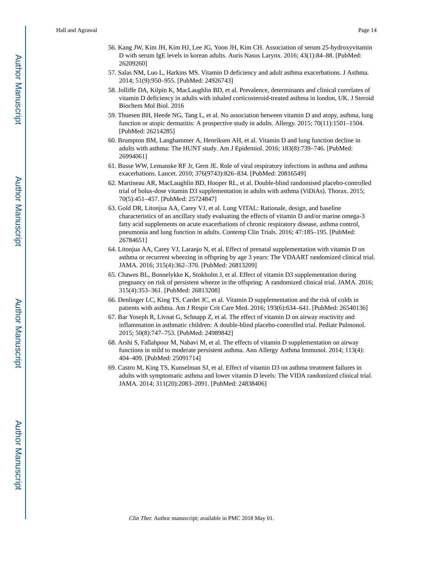- 56. Kang JW, Kim JH, Kim HJ, Lee JG, Yoon JH, Kim CH. Association of serum 25-hydroxyvitamin D with serum IgE levels in korean adults. Auris Nasus Larynx. 2016; 43(1):84–88. [PubMed: 26209260]
- 57. Salas NM, Luo L, Harkins MS. Vitamin D deficiency and adult asthma exacerbations. J Asthma. 2014; 51(9):950–955. [PubMed: 24926743]
- 58. Jolliffe DA, Kilpin K, MacLaughlin BD, et al. Prevalence, determinants and clinical correlates of vitamin D deficiency in adults with inhaled corticosteroid-treated asthma in london, UK. J Steroid Biochem Mol Biol. 2016
- 59. Thuesen BH, Heede NG, Tang L, et al. No association between vitamin D and atopy, asthma, lung function or atopic dermatitis: A prospective study in adults. Allergy. 2015; 70(11):1501–1504. [PubMed: 26214285]
- 60. Brumpton BM, Langhammer A, Henriksen AH, et al. Vitamin D and lung function decline in adults with asthma: The HUNT study. Am J Epidemiol. 2016; 183(8):739–746. [PubMed: 26994061]
- 61. Busse WW, Lemanske RF Jr, Gern JE. Role of viral respiratory infections in asthma and asthma exacerbations. Lancet. 2010; 376(9743):826–834. [PubMed: 20816549]
- 62. Martineau AR, MacLaughlin BD, Hooper RL, et al. Double-blind randomised placebo-controlled trial of bolus-dose vitamin D3 supplementation in adults with asthma (ViDiAs). Thorax. 2015; 70(5):451–457. [PubMed: 25724847]
- 63. Gold DR, Litonjua AA, Carey VJ, et al. Lung VITAL: Rationale, design, and baseline characteristics of an ancillary study evaluating the effects of vitamin D and/or marine omega-3 fatty acid supplements on acute exacerbations of chronic respiratory disease, asthma control, pneumonia and lung function in adults. Contemp Clin Trials. 2016; 47:185–195. [PubMed: 26784651]
- 64. Litonjua AA, Carey VJ, Laranjo N, et al. Effect of prenatal supplementation with vitamin D on asthma or recurrent wheezing in offspring by age 3 years: The VDAART randomized clinical trial. JAMA. 2016; 315(4):362–370. [PubMed: 26813209]
- 65. Chawes BL, Bonnelykke K, Stokholm J, et al. Effect of vitamin D3 supplementation during pregnancy on risk of persistent wheeze in the offspring: A randomized clinical trial. JAMA. 2016; 315(4):353–361. [PubMed: 26813208]
- 66. Denlinger LC, King TS, Cardet JC, et al. Vitamin D supplementation and the risk of colds in patients with asthma. Am J Respir Crit Care Med. 2016; 193(6):634–641. [PubMed: 26540136]
- 67. Bar Yoseph R, Livnat G, Schnapp Z, et al. The effect of vitamin D on airway reactivity and inflammation in asthmatic children: A double-blind placebo-controlled trial. Pediatr Pulmonol. 2015; 50(8):747–753. [PubMed: 24989842]
- 68. Arshi S, Fallahpour M, Nabavi M, et al. The effects of vitamin D supplementation on airway functions in mild to moderate persistent asthma. Ann Allergy Asthma Immunol. 2014; 113(4): 404–409. [PubMed: 25091714]
- 69. Castro M, King TS, Kunselman SJ, et al. Effect of vitamin D3 on asthma treatment failures in adults with symptomatic asthma and lower vitamin D levels: The VIDA randomized clinical trial. JAMA. 2014; 311(20):2083–2091. [PubMed: 24838406]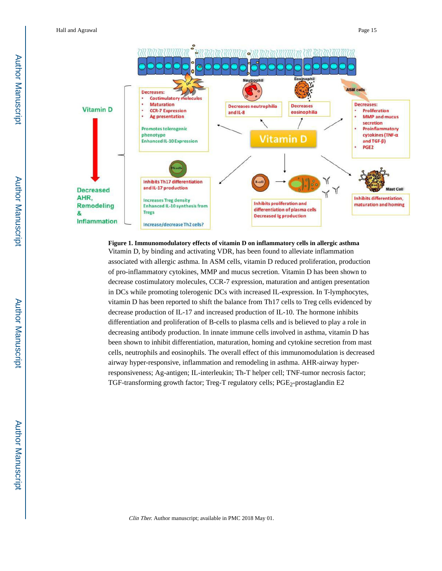Hall and Agrawal Page 15



**Figure 1. Immunomodulatory effects of vitamin D on inflammatory cells in allergic asthma** Vitamin D, by binding and activating VDR, has been found to alleviate inflammation associated with allergic asthma. In ASM cells, vitamin D reduced proliferation, production of pro-inflammatory cytokines, MMP and mucus secretion. Vitamin D has been shown to decrease costimulatory molecules, CCR-7 expression, maturation and antigen presentation in DCs while promoting tolerogenic DCs with increased IL-expression. In T-lymphocytes, vitamin D has been reported to shift the balance from Th17 cells to Treg cells evidenced by decrease production of IL-17 and increased production of IL-10. The hormone inhibits differentiation and proliferation of B-cells to plasma cells and is believed to play a role in decreasing antibody production. In innate immune cells involved in asthma, vitamin D has been shown to inhibit differentiation, maturation, homing and cytokine secretion from mast cells, neutrophils and eosinophils. The overall effect of this immunomodulation is decreased airway hyper-responsive, inflammation and remodeling in asthma. AHR-airway hyperresponsiveness; Ag-antigen; IL-interleukin; Th-T helper cell; TNF-tumor necrosis factor; TGF-transforming growth factor; Treg-T regulatory cells;  $PGE_2$ -prostaglandin E2